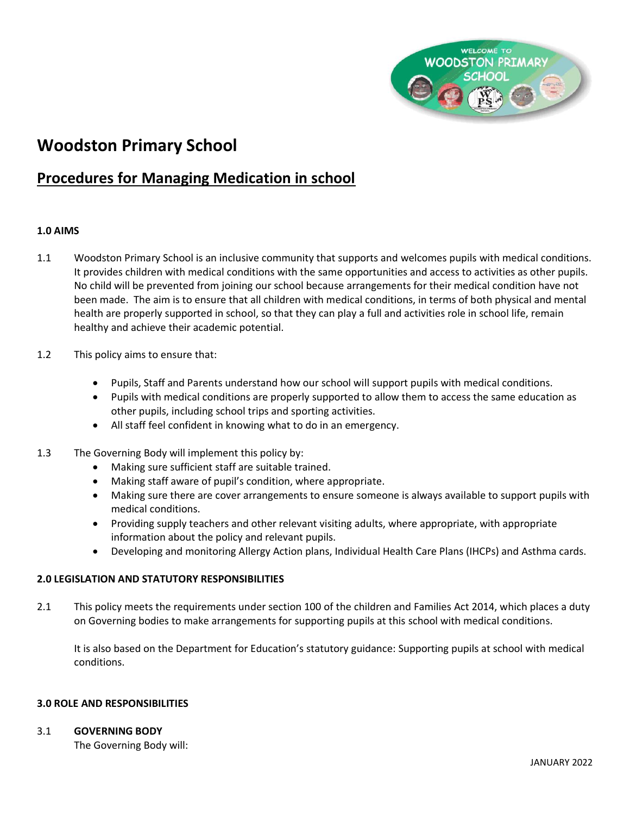

# **Woodston Primary School**

# **Procedures for Managing Medication in school**

# **1.0 AIMS**

- 1.1 Woodston Primary School is an inclusive community that supports and welcomes pupils with medical conditions. It provides children with medical conditions with the same opportunities and access to activities as other pupils. No child will be prevented from joining our school because arrangements for their medical condition have not been made. The aim is to ensure that all children with medical conditions, in terms of both physical and mental health are properly supported in school, so that they can play a full and activities role in school life, remain healthy and achieve their academic potential.
- 1.2 This policy aims to ensure that:
	- Pupils, Staff and Parents understand how our school will support pupils with medical conditions.
	- Pupils with medical conditions are properly supported to allow them to access the same education as other pupils, including school trips and sporting activities.
	- All staff feel confident in knowing what to do in an emergency.
- 1.3 The Governing Body will implement this policy by:
	- Making sure sufficient staff are suitable trained.
	- Making staff aware of pupil's condition, where appropriate.
	- Making sure there are cover arrangements to ensure someone is always available to support pupils with medical conditions.
	- Providing supply teachers and other relevant visiting adults, where appropriate, with appropriate information about the policy and relevant pupils.
	- Developing and monitoring Allergy Action plans, Individual Health Care Plans (IHCPs) and Asthma cards.

#### **2.0 LEGISLATION AND STATUTORY RESPONSIBILITIES**

2.1 This policy meets the requirements under section 100 of the children and Families Act 2014, which places a duty on Governing bodies to make arrangements for supporting pupils at this school with medical conditions.

It is also based on the Department for Education's statutory guidance: Supporting pupils at school with medical conditions.

#### **3.0 ROLE AND RESPONSIBILITIES**

#### 3.1 **GOVERNING BODY**

The Governing Body will: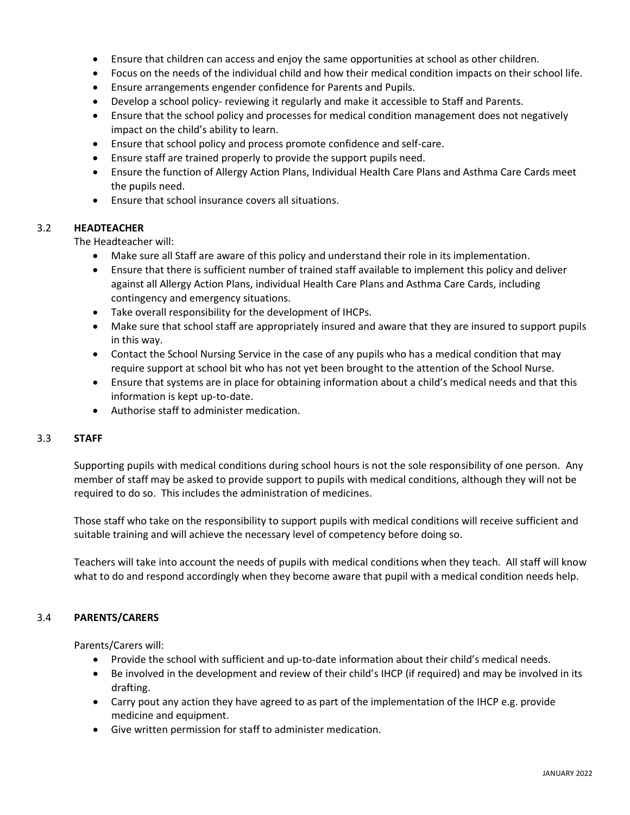- Ensure that children can access and enjoy the same opportunities at school as other children.
- Focus on the needs of the individual child and how their medical condition impacts on their school life.
- Ensure arrangements engender confidence for Parents and Pupils.
- Develop a school policy- reviewing it regularly and make it accessible to Staff and Parents.
- Ensure that the school policy and processes for medical condition management does not negatively impact on the child's ability to learn.
- Ensure that school policy and process promote confidence and self-care.
- Ensure staff are trained properly to provide the support pupils need.
- Ensure the function of Allergy Action Plans, Individual Health Care Plans and Asthma Care Cards meet the pupils need.
- Ensure that school insurance covers all situations.

#### 3.2 **HEADTEACHER**

The Headteacher will:

- Make sure all Staff are aware of this policy and understand their role in its implementation.
- Ensure that there is sufficient number of trained staff available to implement this policy and deliver against all Allergy Action Plans, individual Health Care Plans and Asthma Care Cards, including contingency and emergency situations.
- Take overall responsibility for the development of IHCPs.
- Make sure that school staff are appropriately insured and aware that they are insured to support pupils in this way.
- Contact the School Nursing Service in the case of any pupils who has a medical condition that may require support at school bit who has not yet been brought to the attention of the School Nurse.
- Ensure that systems are in place for obtaining information about a child's medical needs and that this information is kept up-to-date.
- Authorise staff to administer medication.

# 3.3 **STAFF**

Supporting pupils with medical conditions during school hours is not the sole responsibility of one person. Any member of staff may be asked to provide support to pupils with medical conditions, although they will not be required to do so. This includes the administration of medicines.

Those staff who take on the responsibility to support pupils with medical conditions will receive sufficient and suitable training and will achieve the necessary level of competency before doing so.

Teachers will take into account the needs of pupils with medical conditions when they teach. All staff will know what to do and respond accordingly when they become aware that pupil with a medical condition needs help.

# 3.4 **PARENTS/CARERS**

Parents/Carers will:

- Provide the school with sufficient and up-to-date information about their child's medical needs.
- Be involved in the development and review of their child's IHCP (if required) and may be involved in its drafting.
- Carry pout any action they have agreed to as part of the implementation of the IHCP e.g. provide medicine and equipment.
- Give written permission for staff to administer medication.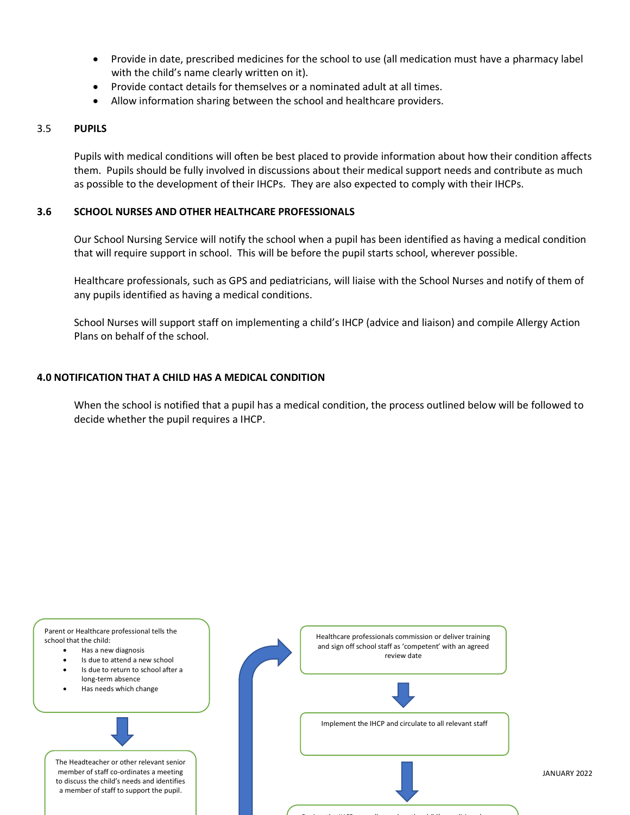- Provide in date, prescribed medicines for the school to use (all medication must have a pharmacy label with the child's name clearly written on it).
- Provide contact details for themselves or a nominated adult at all times.
- Allow information sharing between the school and healthcare providers.

#### 3.5 **PUPILS**

Pupils with medical conditions will often be best placed to provide information about how their condition affects them. Pupils should be fully involved in discussions about their medical support needs and contribute as much as possible to the development of their IHCPs. They are also expected to comply with their IHCPs.

# **3.6 SCHOOL NURSES AND OTHER HEALTHCARE PROFESSIONALS**

Our School Nursing Service will notify the school when a pupil has been identified as having a medical condition that will require support in school. This will be before the pupil starts school, wherever possible.

Healthcare professionals, such as GPS and pediatricians, will liaise with the School Nurses and notify of them of any pupils identified as having a medical conditions.

School Nurses will support staff on implementing a child's IHCP (advice and liaison) and compile Allergy Action Plans on behalf of the school.

#### **4.0 NOTIFICATION THAT A CHILD HAS A MEDICAL CONDITION**

When the school is notified that a pupil has a medical condition, the process outlined below will be followed to decide whether the pupil requires a IHCP.

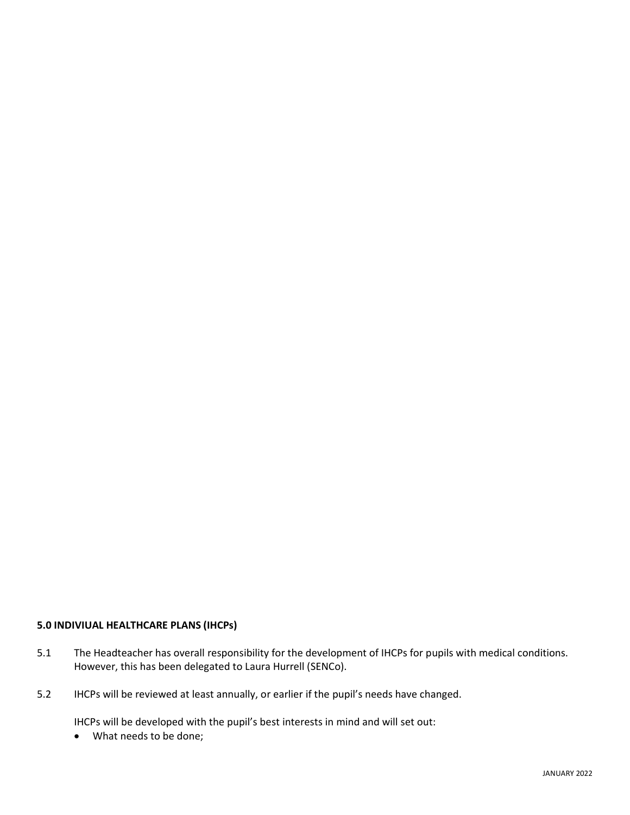# **5.0 INDIVIUAL HEALTHCARE PLANS (IHCPs)**

- 5.1 The Headteacher has overall responsibility for the development of IHCPs for pupils with medical conditions. However, this has been delegated to Laura Hurrell (SENCo).
- 5.2 IHCPs will be reviewed at least annually, or earlier if the pupil's needs have changed.

IHCPs will be developed with the pupil's best interests in mind and will set out:

• What needs to be done;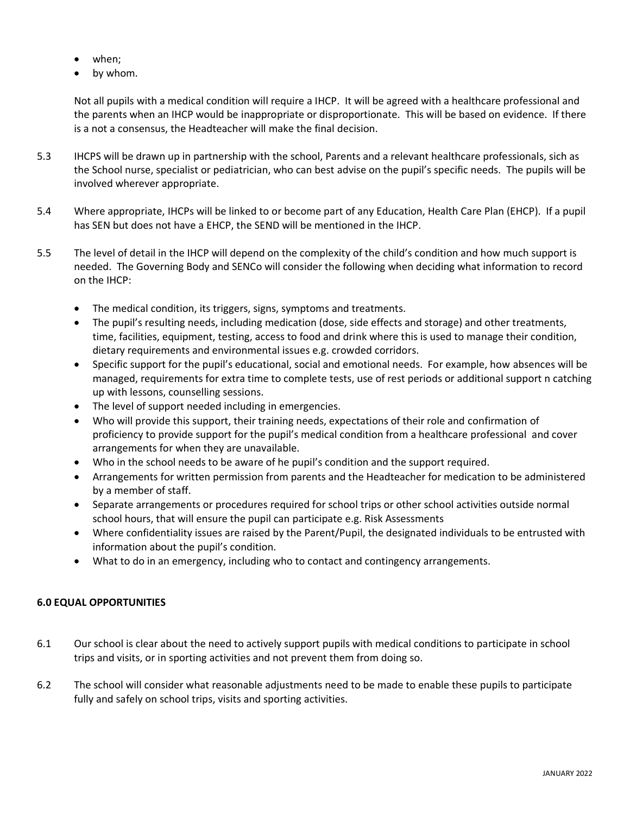- when;
- by whom.

Not all pupils with a medical condition will require a IHCP. It will be agreed with a healthcare professional and the parents when an IHCP would be inappropriate or disproportionate. This will be based on evidence. If there is a not a consensus, the Headteacher will make the final decision.

- 5.3 IHCPS will be drawn up in partnership with the school, Parents and a relevant healthcare professionals, sich as the School nurse, specialist or pediatrician, who can best advise on the pupil's specific needs. The pupils will be involved wherever appropriate.
- 5.4 Where appropriate, IHCPs will be linked to or become part of any Education, Health Care Plan (EHCP). If a pupil has SEN but does not have a EHCP, the SEND will be mentioned in the IHCP.
- 5.5 The level of detail in the IHCP will depend on the complexity of the child's condition and how much support is needed. The Governing Body and SENCo will consider the following when deciding what information to record on the IHCP:
	- The medical condition, its triggers, signs, symptoms and treatments.
	- The pupil's resulting needs, including medication (dose, side effects and storage) and other treatments, time, facilities, equipment, testing, access to food and drink where this is used to manage their condition, dietary requirements and environmental issues e.g. crowded corridors.
	- Specific support for the pupil's educational, social and emotional needs. For example, how absences will be managed, requirements for extra time to complete tests, use of rest periods or additional support n catching up with lessons, counselling sessions.
	- The level of support needed including in emergencies.
	- Who will provide this support, their training needs, expectations of their role and confirmation of proficiency to provide support for the pupil's medical condition from a healthcare professional and cover arrangements for when they are unavailable.
	- Who in the school needs to be aware of he pupil's condition and the support required.
	- Arrangements for written permission from parents and the Headteacher for medication to be administered by a member of staff.
	- Separate arrangements or procedures required for school trips or other school activities outside normal school hours, that will ensure the pupil can participate e.g. Risk Assessments
	- Where confidentiality issues are raised by the Parent/Pupil, the designated individuals to be entrusted with information about the pupil's condition.
	- What to do in an emergency, including who to contact and contingency arrangements.

# **6.0 EQUAL OPPORTUNITIES**

- 6.1 Our school is clear about the need to actively support pupils with medical conditions to participate in school trips and visits, or in sporting activities and not prevent them from doing so.
- 6.2 The school will consider what reasonable adjustments need to be made to enable these pupils to participate fully and safely on school trips, visits and sporting activities.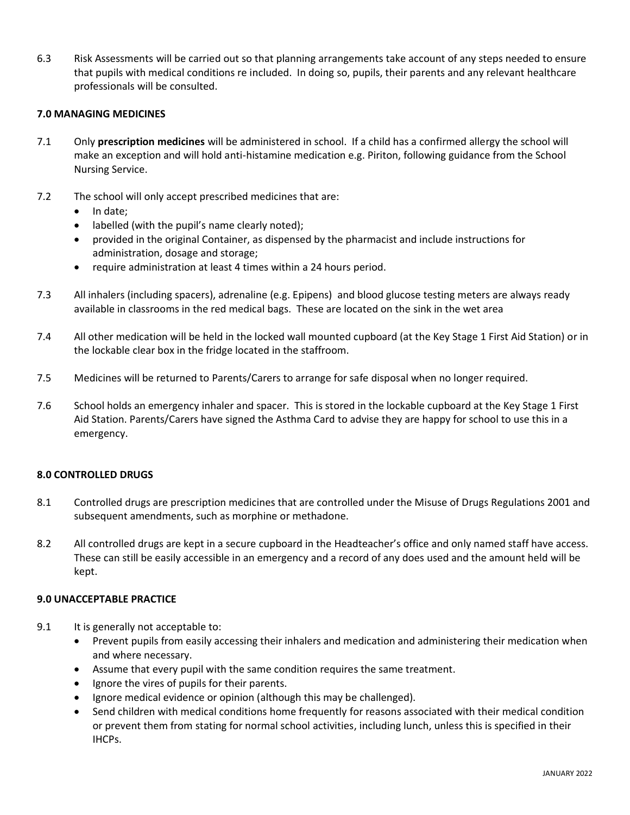6.3 Risk Assessments will be carried out so that planning arrangements take account of any steps needed to ensure that pupils with medical conditions re included. In doing so, pupils, their parents and any relevant healthcare professionals will be consulted.

# **7.0 MANAGING MEDICINES**

- 7.1 Only **prescription medicines** will be administered in school. If a child has a confirmed allergy the school will make an exception and will hold anti-histamine medication e.g. Piriton, following guidance from the School Nursing Service.
- 7.2 The school will only accept prescribed medicines that are:
	- In date;
	- labelled (with the pupil's name clearly noted);
	- provided in the original Container, as dispensed by the pharmacist and include instructions for administration, dosage and storage;
	- require administration at least 4 times within a 24 hours period.
- 7.3 All inhalers (including spacers), adrenaline (e.g. Epipens) and blood glucose testing meters are always ready available in classrooms in the red medical bags. These are located on the sink in the wet area
- 7.4 All other medication will be held in the locked wall mounted cupboard (at the Key Stage 1 First Aid Station) or in the lockable clear box in the fridge located in the staffroom.
- 7.5 Medicines will be returned to Parents/Carers to arrange for safe disposal when no longer required.
- 7.6 School holds an emergency inhaler and spacer. This is stored in the lockable cupboard at the Key Stage 1 First Aid Station. Parents/Carers have signed the Asthma Card to advise they are happy for school to use this in a emergency.

# **8.0 CONTROLLED DRUGS**

- 8.1 Controlled drugs are prescription medicines that are controlled under the Misuse of Drugs Regulations 2001 and subsequent amendments, such as morphine or methadone.
- 8.2 All controlled drugs are kept in a secure cupboard in the Headteacher's office and only named staff have access. These can still be easily accessible in an emergency and a record of any does used and the amount held will be kept.

# **9.0 UNACCEPTABLE PRACTICE**

- 9.1 It is generally not acceptable to:
	- Prevent pupils from easily accessing their inhalers and medication and administering their medication when and where necessary.
	- Assume that every pupil with the same condition requires the same treatment.
	- Ignore the vires of pupils for their parents.
	- Ignore medical evidence or opinion (although this may be challenged).
	- Send children with medical conditions home frequently for reasons associated with their medical condition or prevent them from stating for normal school activities, including lunch, unless this is specified in their IHCPs.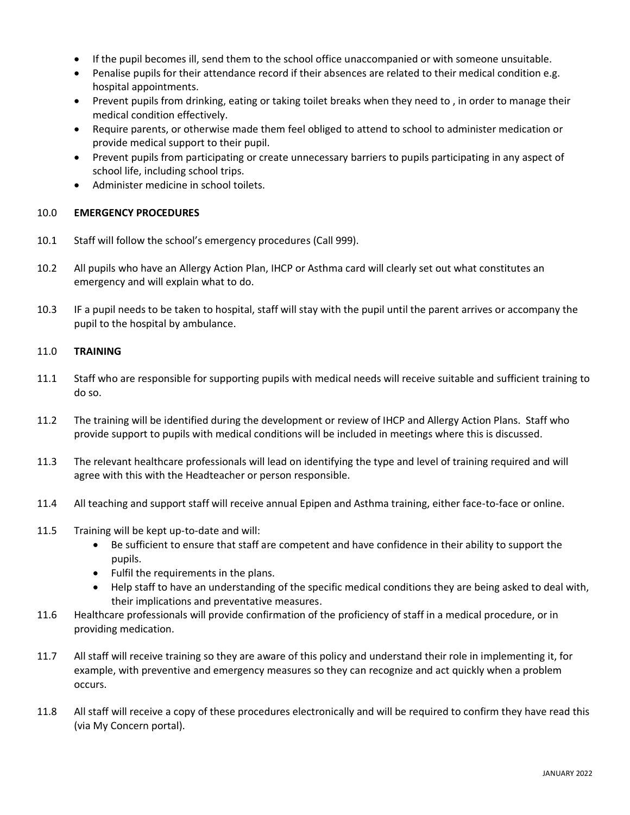- If the pupil becomes ill, send them to the school office unaccompanied or with someone unsuitable.
- Penalise pupils for their attendance record if their absences are related to their medical condition e.g. hospital appointments.
- Prevent pupils from drinking, eating or taking toilet breaks when they need to , in order to manage their medical condition effectively.
- Require parents, or otherwise made them feel obliged to attend to school to administer medication or provide medical support to their pupil.
- Prevent pupils from participating or create unnecessary barriers to pupils participating in any aspect of school life, including school trips.
- Administer medicine in school toilets.

# 10.0 **EMERGENCY PROCEDURES**

- 10.1 Staff will follow the school's emergency procedures (Call 999).
- 10.2 All pupils who have an Allergy Action Plan, IHCP or Asthma card will clearly set out what constitutes an emergency and will explain what to do.
- 10.3 IF a pupil needs to be taken to hospital, staff will stay with the pupil until the parent arrives or accompany the pupil to the hospital by ambulance.

# 11.0 **TRAINING**

- 11.1 Staff who are responsible for supporting pupils with medical needs will receive suitable and sufficient training to do so.
- 11.2 The training will be identified during the development or review of IHCP and Allergy Action Plans. Staff who provide support to pupils with medical conditions will be included in meetings where this is discussed.
- 11.3 The relevant healthcare professionals will lead on identifying the type and level of training required and will agree with this with the Headteacher or person responsible.
- 11.4 All teaching and support staff will receive annual Epipen and Asthma training, either face-to-face or online.
- 11.5 Training will be kept up-to-date and will:
	- Be sufficient to ensure that staff are competent and have confidence in their ability to support the pupils.
	- Fulfil the requirements in the plans.
	- Help staff to have an understanding of the specific medical conditions they are being asked to deal with, their implications and preventative measures.
- 11.6 Healthcare professionals will provide confirmation of the proficiency of staff in a medical procedure, or in providing medication.
- 11.7 All staff will receive training so they are aware of this policy and understand their role in implementing it, for example, with preventive and emergency measures so they can recognize and act quickly when a problem occurs.
- 11.8 All staff will receive a copy of these procedures electronically and will be required to confirm they have read this (via My Concern portal).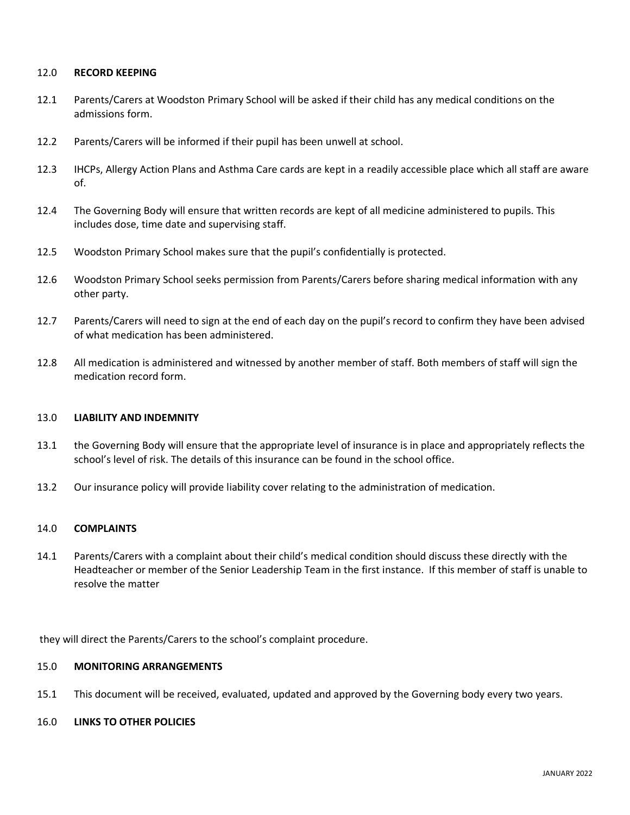#### 12.0 **RECORD KEEPING**

- 12.1 Parents/Carers at Woodston Primary School will be asked if their child has any medical conditions on the admissions form.
- 12.2 Parents/Carers will be informed if their pupil has been unwell at school.
- 12.3 IHCPs, Allergy Action Plans and Asthma Care cards are kept in a readily accessible place which all staff are aware of.
- 12.4 The Governing Body will ensure that written records are kept of all medicine administered to pupils. This includes dose, time date and supervising staff.
- 12.5 Woodston Primary School makes sure that the pupil's confidentially is protected.
- 12.6 Woodston Primary School seeks permission from Parents/Carers before sharing medical information with any other party.
- 12.7 Parents/Carers will need to sign at the end of each day on the pupil's record to confirm they have been advised of what medication has been administered.
- 12.8 All medication is administered and witnessed by another member of staff. Both members of staff will sign the medication record form.

#### 13.0 **LIABILITY AND INDEMNITY**

- 13.1 the Governing Body will ensure that the appropriate level of insurance is in place and appropriately reflects the school's level of risk. The details of this insurance can be found in the school office.
- 13.2 Our insurance policy will provide liability cover relating to the administration of medication.

#### 14.0 **COMPLAINTS**

14.1 Parents/Carers with a complaint about their child's medical condition should discuss these directly with the Headteacher or member of the Senior Leadership Team in the first instance. If this member of staff is unable to resolve the matter

they will direct the Parents/Carers to the school's complaint procedure.

#### 15.0 **MONITORING ARRANGEMENTS**

15.1 This document will be received, evaluated, updated and approved by the Governing body every two years.

#### 16.0 **LINKS TO OTHER POLICIES**